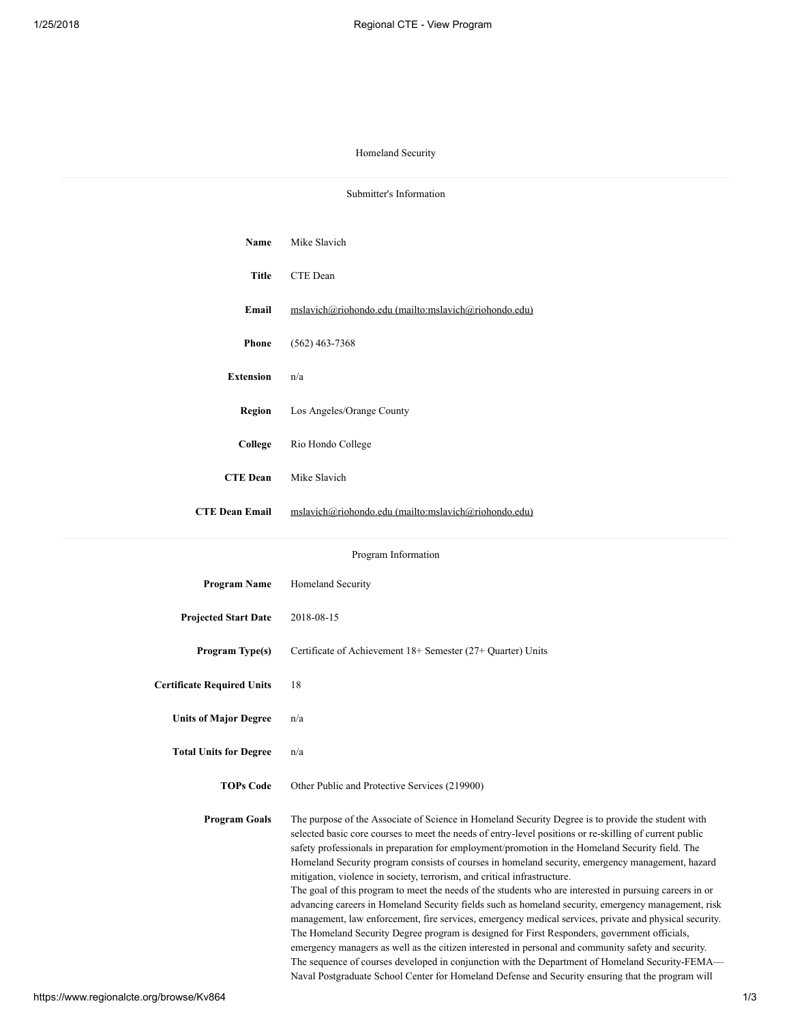## Homeland Security

| Submitter's Information           |                                                                                                                                                                                                                                                                                                                                                                                                                                                                                                                                                                                                                                                                                                                                                                                                                                                                                                                                                                                                                                                                                                                                                                                                                                              |  |
|-----------------------------------|----------------------------------------------------------------------------------------------------------------------------------------------------------------------------------------------------------------------------------------------------------------------------------------------------------------------------------------------------------------------------------------------------------------------------------------------------------------------------------------------------------------------------------------------------------------------------------------------------------------------------------------------------------------------------------------------------------------------------------------------------------------------------------------------------------------------------------------------------------------------------------------------------------------------------------------------------------------------------------------------------------------------------------------------------------------------------------------------------------------------------------------------------------------------------------------------------------------------------------------------|--|
|                                   |                                                                                                                                                                                                                                                                                                                                                                                                                                                                                                                                                                                                                                                                                                                                                                                                                                                                                                                                                                                                                                                                                                                                                                                                                                              |  |
| Name                              | Mike Slavich                                                                                                                                                                                                                                                                                                                                                                                                                                                                                                                                                                                                                                                                                                                                                                                                                                                                                                                                                                                                                                                                                                                                                                                                                                 |  |
| Title                             | CTE Dean                                                                                                                                                                                                                                                                                                                                                                                                                                                                                                                                                                                                                                                                                                                                                                                                                                                                                                                                                                                                                                                                                                                                                                                                                                     |  |
| Email                             | mslavich@riohondo.edu (mailto:mslavich@riohondo.edu)                                                                                                                                                                                                                                                                                                                                                                                                                                                                                                                                                                                                                                                                                                                                                                                                                                                                                                                                                                                                                                                                                                                                                                                         |  |
| <b>Phone</b>                      | $(562)$ 463-7368                                                                                                                                                                                                                                                                                                                                                                                                                                                                                                                                                                                                                                                                                                                                                                                                                                                                                                                                                                                                                                                                                                                                                                                                                             |  |
| <b>Extension</b>                  | n/a                                                                                                                                                                                                                                                                                                                                                                                                                                                                                                                                                                                                                                                                                                                                                                                                                                                                                                                                                                                                                                                                                                                                                                                                                                          |  |
| <b>Region</b>                     | Los Angeles/Orange County                                                                                                                                                                                                                                                                                                                                                                                                                                                                                                                                                                                                                                                                                                                                                                                                                                                                                                                                                                                                                                                                                                                                                                                                                    |  |
| College                           | Rio Hondo College                                                                                                                                                                                                                                                                                                                                                                                                                                                                                                                                                                                                                                                                                                                                                                                                                                                                                                                                                                                                                                                                                                                                                                                                                            |  |
| <b>CTE Dean</b>                   | Mike Slavich                                                                                                                                                                                                                                                                                                                                                                                                                                                                                                                                                                                                                                                                                                                                                                                                                                                                                                                                                                                                                                                                                                                                                                                                                                 |  |
| <b>CTE Dean Email</b>             | mslavich@riohondo.edu (mailto:mslavich@riohondo.edu)                                                                                                                                                                                                                                                                                                                                                                                                                                                                                                                                                                                                                                                                                                                                                                                                                                                                                                                                                                                                                                                                                                                                                                                         |  |
| Program Information               |                                                                                                                                                                                                                                                                                                                                                                                                                                                                                                                                                                                                                                                                                                                                                                                                                                                                                                                                                                                                                                                                                                                                                                                                                                              |  |
| <b>Program Name</b>               | Homeland Security                                                                                                                                                                                                                                                                                                                                                                                                                                                                                                                                                                                                                                                                                                                                                                                                                                                                                                                                                                                                                                                                                                                                                                                                                            |  |
| <b>Projected Start Date</b>       | 2018-08-15                                                                                                                                                                                                                                                                                                                                                                                                                                                                                                                                                                                                                                                                                                                                                                                                                                                                                                                                                                                                                                                                                                                                                                                                                                   |  |
| Program Type(s)                   | Certificate of Achievement 18+ Semester (27+ Quarter) Units                                                                                                                                                                                                                                                                                                                                                                                                                                                                                                                                                                                                                                                                                                                                                                                                                                                                                                                                                                                                                                                                                                                                                                                  |  |
| <b>Certificate Required Units</b> | 18                                                                                                                                                                                                                                                                                                                                                                                                                                                                                                                                                                                                                                                                                                                                                                                                                                                                                                                                                                                                                                                                                                                                                                                                                                           |  |
| <b>Units of Major Degree</b>      | n/a                                                                                                                                                                                                                                                                                                                                                                                                                                                                                                                                                                                                                                                                                                                                                                                                                                                                                                                                                                                                                                                                                                                                                                                                                                          |  |
| <b>Total Units for Degree</b>     | n/a                                                                                                                                                                                                                                                                                                                                                                                                                                                                                                                                                                                                                                                                                                                                                                                                                                                                                                                                                                                                                                                                                                                                                                                                                                          |  |
| <b>TOPs Code</b>                  | Other Public and Protective Services (219900)                                                                                                                                                                                                                                                                                                                                                                                                                                                                                                                                                                                                                                                                                                                                                                                                                                                                                                                                                                                                                                                                                                                                                                                                |  |
| <b>Program Goals</b>              | The purpose of the Associate of Science in Homeland Security Degree is to provide the student with<br>selected basic core courses to meet the needs of entry-level positions or re-skilling of current public<br>safety professionals in preparation for employment/promotion in the Homeland Security field. The<br>Homeland Security program consists of courses in homeland security, emergency management, hazard<br>mitigation, violence in society, terrorism, and critical infrastructure.<br>The goal of this program to meet the needs of the students who are interested in pursuing careers in or<br>advancing careers in Homeland Security fields such as homeland security, emergency management, risk<br>management, law enforcement, fire services, emergency medical services, private and physical security.<br>The Homeland Security Degree program is designed for First Responders, government officials,<br>emergency managers as well as the citizen interested in personal and community safety and security.<br>The sequence of courses developed in conjunction with the Department of Homeland Security-FEMA-<br>Naval Postgraduate School Center for Homeland Defense and Security ensuring that the program will |  |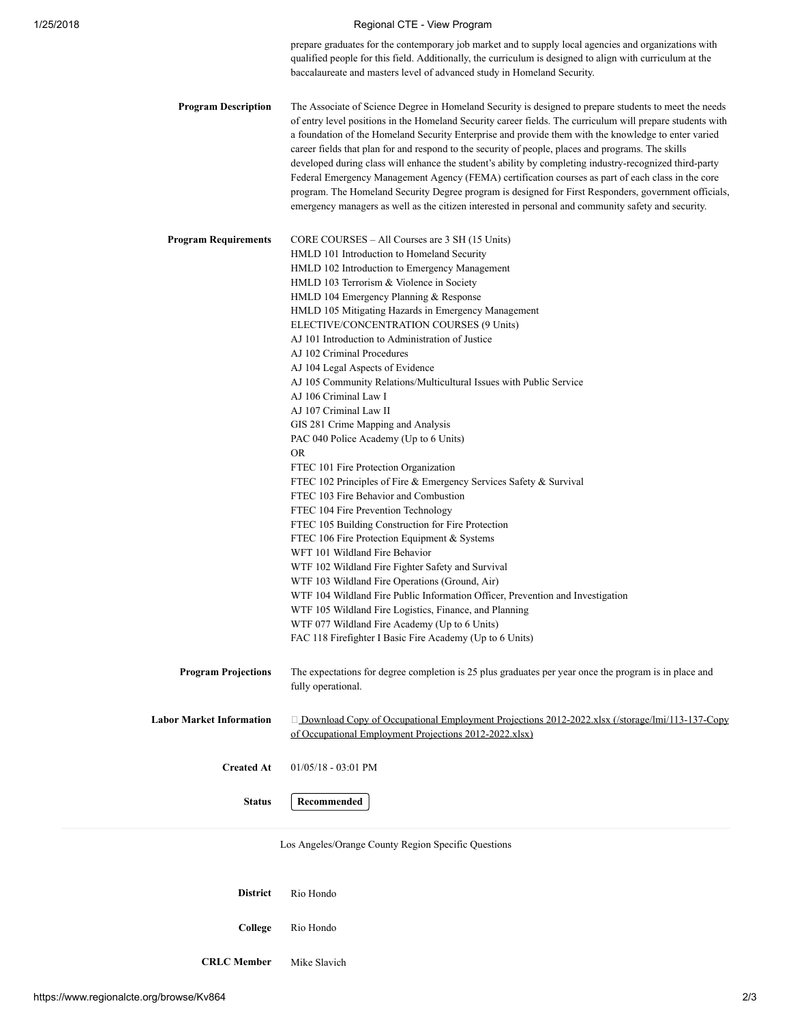## 1/25/2018 **Regional CTE - View Program**

prepare graduates for the contemporary job market and to supply local agencies and organizations with qualified people for this field. Additionally, the curriculum is designed to align with curriculum at the baccalaureate and masters level of advanced study in Homeland Security.

| <b>Program Description</b>      | The Associate of Science Degree in Homeland Security is designed to prepare students to meet the needs<br>of entry level positions in the Homeland Security career fields. The curriculum will prepare students with<br>a foundation of the Homeland Security Enterprise and provide them with the knowledge to enter varied<br>career fields that plan for and respond to the security of people, places and programs. The skills<br>developed during class will enhance the student's ability by completing industry-recognized third-party<br>Federal Emergency Management Agency (FEMA) certification courses as part of each class in the core<br>program. The Homeland Security Degree program is designed for First Responders, government officials,<br>emergency managers as well as the citizen interested in personal and community safety and security.                                                                                                                                                                                                                                                                                                                                                                                                                                                                                                                  |
|---------------------------------|--------------------------------------------------------------------------------------------------------------------------------------------------------------------------------------------------------------------------------------------------------------------------------------------------------------------------------------------------------------------------------------------------------------------------------------------------------------------------------------------------------------------------------------------------------------------------------------------------------------------------------------------------------------------------------------------------------------------------------------------------------------------------------------------------------------------------------------------------------------------------------------------------------------------------------------------------------------------------------------------------------------------------------------------------------------------------------------------------------------------------------------------------------------------------------------------------------------------------------------------------------------------------------------------------------------------------------------------------------------------------------------|
| <b>Program Requirements</b>     | CORE COURSES – All Courses are 3 SH (15 Units)<br>HMLD 101 Introduction to Homeland Security<br>HMLD 102 Introduction to Emergency Management<br>HMLD 103 Terrorism & Violence in Society<br>HMLD 104 Emergency Planning & Response<br>HMLD 105 Mitigating Hazards in Emergency Management<br>ELECTIVE/CONCENTRATION COURSES (9 Units)<br>AJ 101 Introduction to Administration of Justice<br>AJ 102 Criminal Procedures<br>AJ 104 Legal Aspects of Evidence<br>AJ 105 Community Relations/Multicultural Issues with Public Service<br>AJ 106 Criminal Law I<br>AJ 107 Criminal Law II<br>GIS 281 Crime Mapping and Analysis<br>PAC 040 Police Academy (Up to 6 Units)<br>OR.<br>FTEC 101 Fire Protection Organization<br>FTEC 102 Principles of Fire & Emergency Services Safety & Survival<br>FTEC 103 Fire Behavior and Combustion<br>FTEC 104 Fire Prevention Technology<br>FTEC 105 Building Construction for Fire Protection<br>FTEC 106 Fire Protection Equipment & Systems<br>WFT 101 Wildland Fire Behavior<br>WTF 102 Wildland Fire Fighter Safety and Survival<br>WTF 103 Wildland Fire Operations (Ground, Air)<br>WTF 104 Wildland Fire Public Information Officer, Prevention and Investigation<br>WTF 105 Wildland Fire Logistics, Finance, and Planning<br>WTF 077 Wildland Fire Academy (Up to 6 Units)<br>FAC 118 Firefighter I Basic Fire Academy (Up to 6 Units) |
| Program Projections             | The expectations for degree completion is 25 plus graduates per year once the program is in place and<br>fully operational.                                                                                                                                                                                                                                                                                                                                                                                                                                                                                                                                                                                                                                                                                                                                                                                                                                                                                                                                                                                                                                                                                                                                                                                                                                                          |
| <b>Labor Market Information</b> | □ Download Copy of Occupational Employment Projections 2012-2022.xlsx (/storage/lmi/113-137-Copy<br>of Occupational Employment Projections 2012-2022.xlsx)                                                                                                                                                                                                                                                                                                                                                                                                                                                                                                                                                                                                                                                                                                                                                                                                                                                                                                                                                                                                                                                                                                                                                                                                                           |
| <b>Created At</b>               | $01/05/18 - 03:01$ PM                                                                                                                                                                                                                                                                                                                                                                                                                                                                                                                                                                                                                                                                                                                                                                                                                                                                                                                                                                                                                                                                                                                                                                                                                                                                                                                                                                |
| <b>Status</b>                   | Recommended                                                                                                                                                                                                                                                                                                                                                                                                                                                                                                                                                                                                                                                                                                                                                                                                                                                                                                                                                                                                                                                                                                                                                                                                                                                                                                                                                                          |
|                                 |                                                                                                                                                                                                                                                                                                                                                                                                                                                                                                                                                                                                                                                                                                                                                                                                                                                                                                                                                                                                                                                                                                                                                                                                                                                                                                                                                                                      |

Los Angeles/Orange County Region Specific Questions

District Rio Hondo College Rio Hondo

CRLC Member Mike Slavich